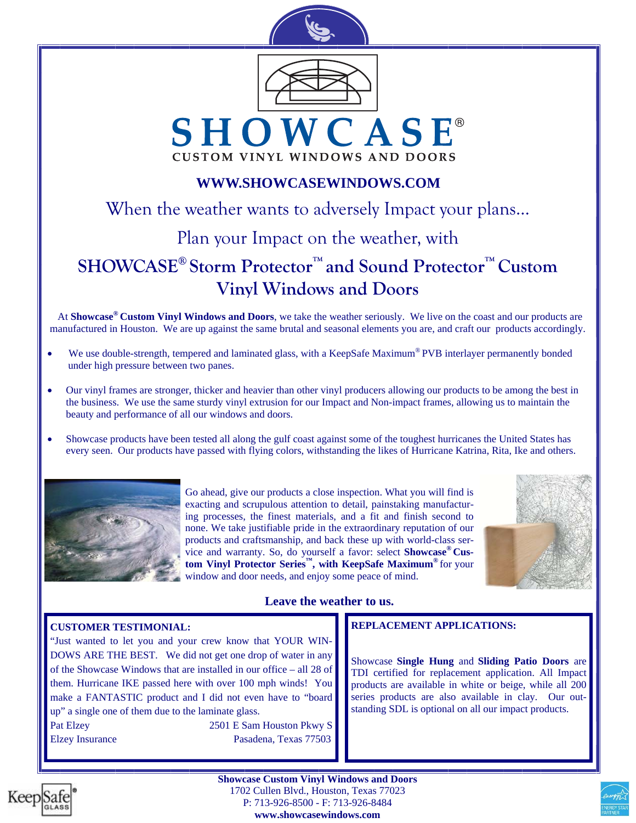

## **WWW.SHOWCASEWINDOWS.COM**

When the weather wants to adversely Impact your plans... Plan your Impact on the weather, with **SHOWCASE® Storm Protector™ and Sound Protector™ Custom Vinyl Windows and Doors** 

At **Showcase® Custom Vinyl Windows and Doors**, we take the weather seriously. We live on the coast and our products are manufactured in Houston. We are up against the same brutal and seasonal elements you are, and craft our products accordingly.

- We use double-strength, tempered and laminated glass, with a KeepSafe Maximum<sup>®</sup> PVB interlayer permanently bonded under high pressure between two panes.
- Our vinyl frames are stronger, thicker and heavier than other vinyl producers allowing our products to be among the best in the business. We use the same sturdy vinyl extrusion for our Impact and Non-impact frames, allowing us to maintain the beauty and performance of all our windows and doors.
- Showcase products have been tested all along the gulf coast against some of the toughest hurricanes the United States has every seen. Our products have passed with flying colors, withstanding the likes of Hurricane Katrina, Rita, Ike and others.



Go ahead, give our products a close inspection. What you will find is exacting and scrupulous attention to detail, painstaking manufacturing processes, the finest materials, and a fit and finish second to none. We take justifiable pride in the extraordinary reputation of our products and craftsmanship, and back these up with world-class service and warranty. So, do yourself a favor: select **Showcase® Custom Vinyl Protector Series™, with KeepSafe Maximum®** for your window and door needs, and enjoy some peace of mind.



### **Leave the weather to us.**

#### **CUSTOMER TESTIMONIAL:**

"Just wanted to let you and your crew know that YOUR WIN-DOWS ARE THE BEST. We did not get one drop of water in any of the Showcase Windows that are installed in our office – all 28 of them. Hurricane IKE passed here with over 100 mph winds! You make a FANTASTIC product and I did not even have to "board up" a single one of them due to the laminate glass. Pat Elzey 2501 E Sam Houston Pkwy S Elzey Insurance Pasadena, Texas 77503

### **REPLACEMENT APPLICATIONS:**

Showcase **Single Hung** and **Sliding Patio Doors** are TDI certified for replacement application. All Impact products are available in white or beige, while all 200 series products are also available in clay. Our outstanding SDL is optional on all our impact products.



**Showcase Custom Vinyl Windows and Doors**  1702 Cullen Blvd., Houston, Texas 77023 P: 713-926-8500 - F: 713-926-8484

**www.showcasewindows.com**